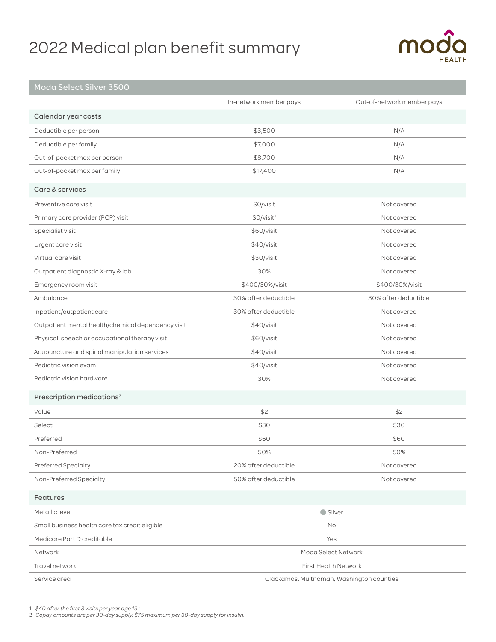# 2022 Medical plan benefit summary



## Moda Select Silver 3500

|                                                    | In-network member pays                    | Out-of-network member pays |
|----------------------------------------------------|-------------------------------------------|----------------------------|
| Calendar year costs                                |                                           |                            |
| Deductible per person                              | \$3,500                                   | N/A                        |
| Deductible per family                              | \$7,000                                   | N/A                        |
| Out-of-pocket max per person                       | \$8,700                                   | N/A                        |
| Out-of-pocket max per family                       | \$17,400                                  | N/A                        |
| Care & services                                    |                                           |                            |
| Preventive care visit                              | \$0/visit                                 | Not covered                |
| Primary care provider (PCP) visit                  | \$0/visit <sup>1</sup>                    | Not covered                |
| Specialist visit                                   | \$60/visit                                | Not covered                |
| Urgent care visit                                  | \$40/visit                                | Not covered                |
| Virtual care visit                                 | \$30/visit                                | Not covered                |
| Outpatient diagnostic X-ray & lab                  | 30%                                       | Not covered                |
| Emergency room visit                               | \$400/30%/visit                           | \$400/30%/visit            |
| Ambulance                                          | 30% after deductible                      | 30% after deductible       |
| Inpatient/outpatient care                          | 30% after deductible                      | Not covered                |
| Outpatient mental health/chemical dependency visit | \$40/visit                                | Not covered                |
| Physical, speech or occupational therapy visit     | \$60/visit                                | Not covered                |
| Acupuncture and spinal manipulation services       | \$40/visit                                | Not covered                |
| Pediatric vision exam                              | \$40/visit                                | Not covered                |
| Pediatric vision hardware                          | 30%                                       | Not covered                |
| Prescription medications <sup>2</sup>              |                                           |                            |
| Value                                              | \$2                                       | \$2                        |
| Select                                             | \$30                                      | \$30                       |
| Preferred                                          | \$60                                      | \$60                       |
| Non-Preferred                                      | 50%                                       | 50%                        |
| Preferred Specialty                                | 20% after deductible                      | Not covered                |
| Non-Preferred Specialty                            | 50% after deductible                      | Not covered                |
| Features                                           |                                           |                            |
| Metallic level                                     | ● Silver                                  |                            |
| Small business health care tax credit eligible     | No                                        |                            |
| Medicare Part D creditable                         | Yes                                       |                            |
| Network                                            | Moda Select Network                       |                            |
| Travel network                                     | <b>First Health Network</b>               |                            |
| Service area                                       | Clackamas, Multnomah, Washington counties |                            |

1 *\$40 after the first 3 visits per year age 19+* 

2 *Copay amounts are per 30-day supply. \$75 maximum per 30-day supply for insulin.*